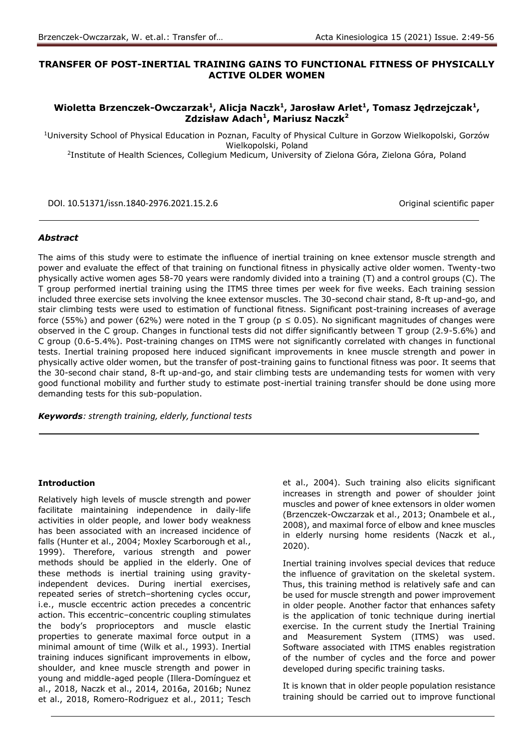# **TRANSFER OF POST-INERTIAL TRAINING GAINS TO FUNCTIONAL FITNESS OF PHYSICALLY ACTIVE OLDER WOMEN**

# **Wioletta Brzenczek-Owczarzak<sup>1</sup> , Alicja Naczk<sup>1</sup> , Jarosław Arlet<sup>1</sup> , Tomasz Jędrzejczak<sup>1</sup> , Zdzisław Adach<sup>1</sup> , Mariusz Naczk<sup>2</sup>**

<sup>1</sup>University School of Physical Education in Poznan, Faculty of Physical Culture in Gorzow Wielkopolski, Gorzów Wielkopolski, Poland

<sup>2</sup>Institute of Health Sciences, Collegium Medicum, University of Zielona Góra, Zielona Góra, Poland

DOI. 10.51371/issn.1840-2976.2021.15.2.6 Original scientific paper

### *Abstract*

The aims of this study were to estimate the influence of inertial training on knee extensor muscle strength and power and evaluate the effect of that training on functional fitness in physically active older women. Twenty-two physically active women ages 58-70 years were randomly divided into a training (T) and a control groups (C). The T group performed inertial training using the ITMS three times per week for five weeks. Each training session included three exercise sets involving the knee extensor muscles. The 30-second chair stand, 8-ft up-and-go, and stair climbing tests were used to estimation of functional fitness. Significant post-training increases of average force (55%) and power (62%) were noted in the T group ( $p \le 0.05$ ). No significant magnitudes of changes were observed in the C group. Changes in functional tests did not differ significantly between T group (2.9-5.6%) and C group (0.6-5.4%). Post-training changes on ITMS were not significantly correlated with changes in functional tests. Inertial training proposed here induced significant improvements in knee muscle strength and power in physically active older women, but the transfer of post-training gains to functional fitness was poor. It seems that the 30-second chair stand, 8-ft up-and-go, and stair climbing tests are undemanding tests for women with very good functional mobility and further study to estimate post-inertial training transfer should be done using more demanding tests for this sub-population.

*Keywords: strength training, elderly, functional tests* 

### **Introduction**

Relatively high levels of muscle strength and power facilitate maintaining independence in daily-life activities in older people, and lower body weakness has been associated with an increased incidence of falls (Hunter et al., 2004; Moxley Scarborough et al., 1999). Therefore, various strength and power methods should be applied in the elderly. One of these methods is inertial training using gravityindependent devices. During inertial exercises, repeated series of stretch–shortening cycles occur, i.e., muscle eccentric action precedes a concentric action. This eccentric–concentric coupling stimulates the body's proprioceptors and muscle elastic properties to generate maximal force output in a minimal amount of time (Wilk et al., 1993). Inertial training induces significant improvements in elbow, shoulder, and knee muscle strength and power in young and middle-aged people (Illera-Domínguez et al., 2018, Naczk et al., 2014, 2016a, 2016b; Nunez et al., 2018, Romero-Rodriguez et al., 2011; Tesch

et al., 2004). Such training also elicits significant increases in strength and power of shoulder joint muscles and power of knee extensors in older women (Brzenczek-Owczarzak et al., 2013; Onambele et al., 2008), and maximal force of elbow and knee muscles in elderly nursing home residents (Naczk et al., 2020).

Inertial training involves special devices that reduce the influence of gravitation on the skeletal system. Thus, this training method is relatively safe and can be used for muscle strength and power improvement in older people. Another factor that enhances safety is the application of tonic technique during inertial exercise. In the current study the Inertial Training and Measurement System (ITMS) was used. Software associated with ITMS enables registration of the number of cycles and the force and power developed during specific training tasks.

It is known that in older people population resistance training should be carried out to improve functional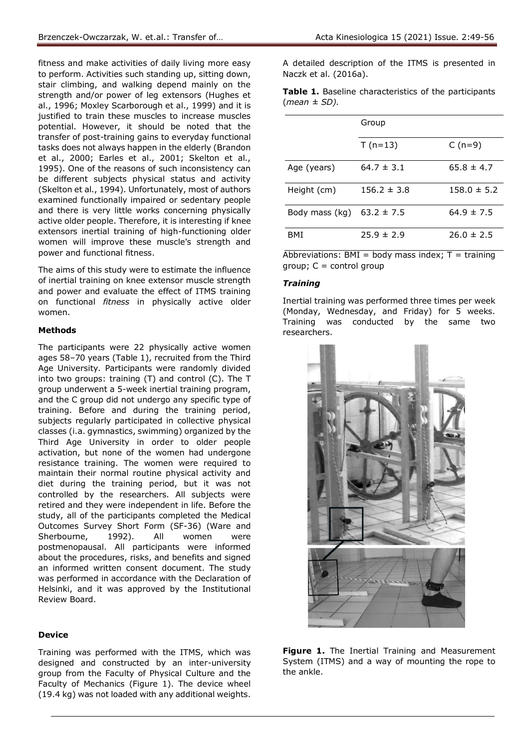fitness and make activities of daily living more easy to perform. Activities such standing up, sitting down, stair climbing, and walking depend mainly on the strength and/or power of leg extensors (Hughes et al., 1996; Moxley Scarborough et al., 1999) and it is justified to train these muscles to increase muscles potential. However, it should be noted that the transfer of post-training gains to everyday functional tasks does not always happen in the elderly (Brandon et al., 2000; Earles et al., 2001; Skelton et al., 1995). One of the reasons of such inconsistency can be different subjects physical status and activity (Skelton et al., 1994). Unfortunately, most of authors examined functionally impaired or sedentary people and there is very little works concerning physically active older people. Therefore, it is interesting if knee extensors inertial training of high-functioning older women will improve these muscle's strength and power and functional fitness.

The aims of this study were to estimate the influence of inertial training on knee extensor muscle strength and power and evaluate the effect of ITMS training on functional *fitness* in physically active older women.

## **Methods**

The participants were 22 physically active women ages 58–70 years (Table 1), recruited from the Third Age University. Participants were randomly divided into two groups: training (T) and control (C). The T group underwent a 5-week inertial training program, and the C group did not undergo any specific type of training. Before and during the training period, subjects regularly participated in collective physical classes (i.a. gymnastics, swimming) organized by the Third Age University in order to older people activation, but none of the women had undergone resistance training. The women were required to maintain their normal routine physical activity and diet during the training period, but it was not controlled by the researchers. All subjects were retired and they were independent in life. Before the study, all of the participants completed the Medical Outcomes Survey Short Form (SF-36) (Ware and Sherbourne, 1992). All women were postmenopausal. All participants were informed about the procedures, risks, and benefits and signed an informed written consent document. The study was performed in accordance with the Declaration of Helsinki, and it was approved by the Institutional Review Board.

### **Device**

Training was performed with the ITMS, which was designed and constructed by an inter-university group from the Faculty of Physical Culture and the Faculty of Mechanics (Figure 1). The device wheel (19.4 kg) was not loaded with any additional weights.

A detailed description of the ITMS is presented in Naczk et al. (2016a).

|                   | <b>Table 1.</b> Baseline characteristics of the participants |  |  |
|-------------------|--------------------------------------------------------------|--|--|
| $(mean \pm SD)$ . |                                                              |  |  |

|                               | Group           |                 |  |  |  |  |
|-------------------------------|-----------------|-----------------|--|--|--|--|
|                               | $T(n=13)$       | $C(n=9)$        |  |  |  |  |
| Age (years)                   | $64.7 \pm 3.1$  | $65.8 \pm 4.7$  |  |  |  |  |
| Height (cm)                   | $156.2 \pm 3.8$ | $158.0 \pm 5.2$ |  |  |  |  |
| Body mass (kg) $63.2 \pm 7.5$ |                 | $64.9 \pm 7.5$  |  |  |  |  |
| BMI                           | $75.9 \pm 7.9$  | $26.0 \pm 2.5$  |  |  |  |  |

Abbreviations: BMI = body mass index;  $T = \text{training}$  $group; C = control group$ 

### *Training*

Inertial training was performed three times per week (Monday, Wednesday, and Friday) for 5 weeks. Training was conducted by the same two researchers.



**Figure 1.** The Inertial Training and Measurement System (ITMS) and a way of mounting the rope to the ankle.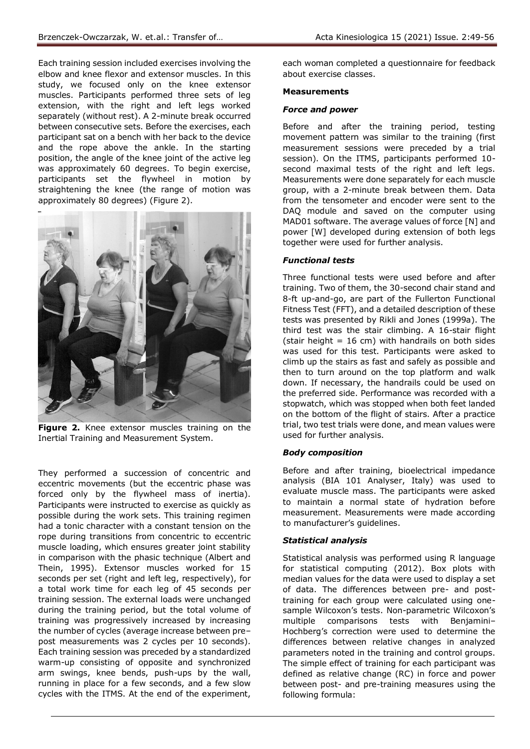Each training session included exercises involving the elbow and knee flexor and extensor muscles. In this study, we focused only on the knee extensor muscles. Participants performed three sets of leg extension, with the right and left legs worked separately (without rest). A 2-minute break occurred between consecutive sets. Before the exercises, each participant sat on a bench with her back to the device and the rope above the ankle. In the starting position, the angle of the knee joint of the active leg was approximately 60 degrees. To begin exercise, participants set the flywheel in motion by straightening the knee (the range of motion was approximately 80 degrees) (Figure 2).



Figure 2. Knee extensor muscles training on the Inertial Training and Measurement System.

They performed a succession of concentric and eccentric movements (but the eccentric phase was forced only by the flywheel mass of inertia). Participants were instructed to exercise as quickly as possible during the work sets. This training regimen had a tonic character with a constant tension on the rope during transitions from concentric to eccentric muscle loading, which ensures greater joint stability in comparison with the phasic technique (Albert and Thein, 1995). Extensor muscles worked for 15 seconds per set (right and left leg, respectively), for a total work time for each leg of 45 seconds per training session. The external loads were unchanged during the training period, but the total volume of training was progressively increased by increasing the number of cycles (average increase between pre– post measurements was 2 cycles per 10 seconds). Each training session was preceded by a standardized warm-up consisting of opposite and synchronized arm swings, knee bends, push-ups by the wall, running in place for a few seconds, and a few slow cycles with the ITMS. At the end of the experiment,

each woman completed a questionnaire for feedback about exercise classes.

### **Measurements**

### *Force and power*

Before and after the training period, testing movement pattern was similar to the training (first measurement sessions were preceded by a trial session). On the ITMS, participants performed 10 second maximal tests of the right and left legs. Measurements were done separately for each muscle group, with a 2-minute break between them. Data from the tensometer and encoder were sent to the DAQ module and saved on the computer using MAD01 software. The average values of force [N] and power [W] developed during extension of both legs together were used for further analysis.

### *Functional tests*

Three functional tests were used before and after training. Two of them, the 30-second chair stand and 8-ft up-and-go, are part of the Fullerton Functional Fitness Test (FFT), and a detailed description of these tests was presented by Rikli and Jones (1999a). The third test was the stair climbing. A 16-stair flight (stair height  $= 16$  cm) with handrails on both sides was used for this test. Participants were asked to climb up the stairs as fast and safely as possible and then to turn around on the top platform and walk down. If necessary, the handrails could be used on the preferred side. Performance was recorded with a stopwatch, which was stopped when both feet landed on the bottom of the flight of stairs. After a practice trial, two test trials were done, and mean values were used for further analysis.

### *Body composition*

Before and after training, bioelectrical impedance analysis (BIA 101 Analyser, Italy) was used to evaluate muscle mass. The participants were asked to maintain a normal state of hydration before measurement. Measurements were made according to manufacturer's guidelines.

### *Statistical analysis*

Statistical analysis was performed using R language for statistical computing (2012). Box plots with median values for the data were used to display a set of data. The differences between pre- and posttraining for each group were calculated using onesample Wilcoxon's tests. Non-parametric Wilcoxon's multiple comparisons tests with Benjamini– Hochberg's correction were used to determine the differences between relative changes in analyzed parameters noted in the training and control groups. The simple effect of training for each participant was defined as relative change (RC) in force and power between post- and pre-training measures using the following formula: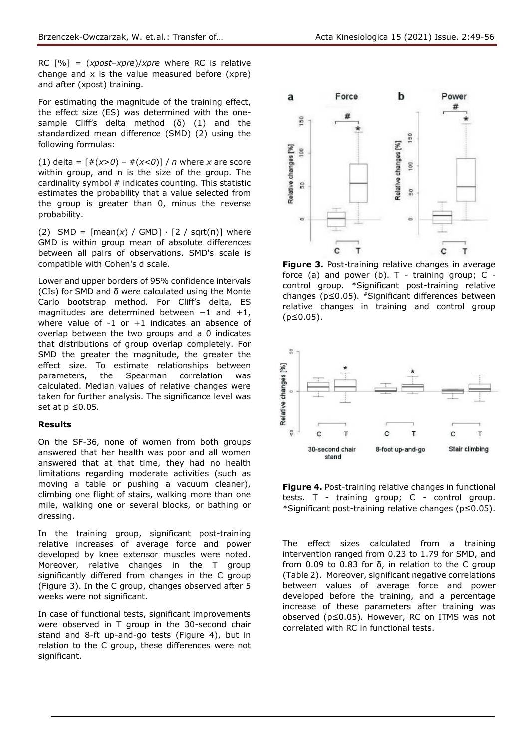RC [%] = (*xpost*–*xpre*)/*xpre* where RC is relative change and x is the value measured before (xpre) and after (xpost) training.

For estimating the magnitude of the training effect, the effect size (ES) was determined with the onesample Cliff's delta method (δ) (1) and the standardized mean difference (SMD) (2) using the following formulas:

(1) delta =  $[#(x>0) - #(x<0)] / n$  where *x* are score within group, and n is the size of the group. The cardinality symbol # indicates counting. This statistic estimates the probability that a value selected from the group is greater than 0, minus the reverse probability.

(2) SMD =  $[mean(x) / GMD] \cdot [2 / sqrt(n)]$  where GMD is within group mean of absolute differences between all pairs of observations. SMD's scale is compatible with Cohen's d scale.

Lower and upper borders of 95% confidence intervals (CIs) for SMD and δ were calculated using the Monte Carlo bootstrap method. For Cliff's delta, ES magnitudes are determined between −1 and +1, where value of  $-1$  or  $+1$  indicates an absence of overlap between the two groups and a 0 indicates that distributions of group overlap completely. For SMD the greater the magnitude, the greater the effect size. To estimate relationships between parameters, the Spearman correlation was calculated. Median values of relative changes were taken for further analysis. The significance level was set at  $p \leq 0.05$ .

### **Results**

On the SF-36, none of women from both groups answered that her health was poor and all women answered that at that time, they had no health limitations regarding moderate activities (such as moving a table or pushing a vacuum cleaner), climbing one flight of stairs, walking more than one mile, walking one or several blocks, or bathing or dressing.

In the training group, significant post-training relative increases of average force and power developed by knee extensor muscles were noted. Moreover, relative changes in the T group significantly differed from changes in the C group (Figure 3). In the C group, changes observed after 5 weeks were not significant.

In case of functional tests, significant improvements were observed in T group in the 30-second chair stand and 8-ft up-and-go tests (Figure 4), but in relation to the C group, these differences were not significant.



 $\circ$ 

c

T

b

Power

#

Force

 $\mathbf{c}$ 

T

a

 $\circ$ 

**Figure 3.** Post-training relative changes in average force (a) and power (b).  $T$  - training group;  $C$  control group. \*Significant post-training relative changes ( $p \le 0.05$ ). #Significant differences between relative changes in training and control group (p≤0.05).



**Figure 4.** Post-training relative changes in functional tests. T - training group; C - control group. \*Significant post-training relative changes (p≤0.05).

The effect sizes calculated from a training intervention ranged from 0.23 to 1.79 for SMD, and from 0.09 to 0.83 for δ, in relation to the C group (Table 2). Moreover, significant negative correlations between values of average force and power developed before the training, and a percentage increase of these parameters after training was observed (p≤0.05). However, RC on ITMS was not correlated with RC in functional tests.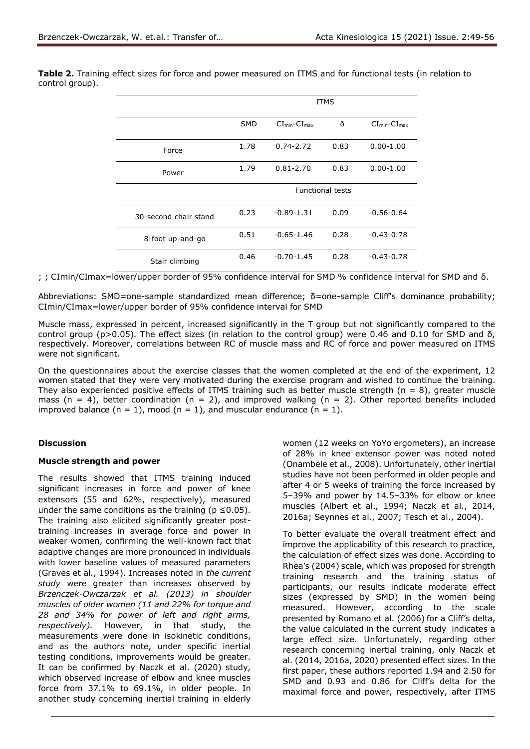|                       | ITMS       |                         |      |                |  |  |
|-----------------------|------------|-------------------------|------|----------------|--|--|
|                       | <b>SMD</b> | $CI_{min}$ - $CI_{max}$ | δ    | $CImin-CImax$  |  |  |
| Force                 | 1.78       | $0.74 - 2.72$           | 0.83 | $0.00 - 1.00$  |  |  |
| Power                 | 1.79       | $0.81 - 2.70$           | 0.83 | $0.00 - 1.00$  |  |  |
|                       |            | <b>Functional tests</b> |      |                |  |  |
| 30-second chair stand | 0.23       | $-0.89 - 1.31$          | 0.09 | $-0.56 - 0.64$ |  |  |
| 8-foot up-and-go      | 0.51       | $-0.65 - 1.46$          | 0.28 | $-0.43-0.78$   |  |  |
| Stair climbing        | 0.46       | $-0.70 - 1.45$          | 0.28 | $-0.43-0.78$   |  |  |

**Table 2.** Training effect sizes for force and power measured on ITMS and for functional tests (in relation to control group).

; ; CImin/CImax=lower/upper border of 95% confidence interval for SMD % confidence interval for SMD and δ.

Abbreviations: SMD=one-sample standardized mean difference; δ=one-sample Cliff's dominance probability; CImin/CImax=lower/upper border of 95% confidence interval for SMD

Muscle mass, expressed in percent, increased significantly in the T group but not significantly compared to the control group (p>0.05). The effect sizes (in relation to the control group) were 0.46 and 0.10 for SMD and δ, respectively. Moreover, correlations between RC of muscle mass and RC of force and power measured on ITMS were not significant.

On the questionnaires about the exercise classes that the women completed at the end of the experiment, 12 women stated that they were very motivated during the exercise program and wished to continue the training. They also experienced positive effects of ITMS training such as better muscle strength ( $n = 8$ ), greater muscle mass (n = 4), better coordination (n = 2), and improved walking (n = 2). Other reported benefits included improved balance  $(n = 1)$ , mood  $(n = 1)$ , and muscular endurance  $(n = 1)$ .

## **Discussion**

### **Muscle strength and power**

The results showed that ITMS training induced significant increases in force and power of knee extensors (55 and 62%, respectively), measured under the same conditions as the training ( $p \le 0.05$ ). The training also elicited significantly greater posttraining increases in average force and power in weaker women, confirming the well-known fact that adaptive changes are more pronounced in individuals with lower baseline values of measured parameters (Graves et al., 1994). Increases noted in *the current study* were greater than increases observed by *Brzenczek-Owczarzak et al. (2013) in shoulder muscles of older women (11 and 22% for torque and 28 and 34% for power of left and right arms, respectively).* However, in that study, the measurements were done in isokinetic conditions, and as the authors note, under specific inertial testing conditions, improvements would be greater. It can be confirmed by Naczk et al. (2020) study, which observed increase of elbow and knee muscles force from 37.1% to 69.1%, in older people. In another study concerning inertial training in elderly

women (12 weeks on YoYo ergometers), an increase of 28% in knee extensor power was noted noted (Onambele et al., 2008). Unfortunately, other inertial studies have not been performed in older people and after 4 or 5 weeks of training the force increased by 5–39% and power by 14.5–33% for elbow or knee muscles (Albert et al., 1994; Naczk et al., 2014, 2016a; Seynnes et al., 2007; Tesch et al., 2004).

To better evaluate the overall treatment effect and improve the applicability of this research to practice, the calculation of effect sizes was done. According to Rhea's (2004) scale, which was proposed for strength training research and the training status of participants, our results indicate moderate effect sizes (expressed by SMD) in the women being measured. However, according to the scale presented by Romano et al. (2006) for a Cliff's delta, the value calculated in the current study indicates a large effect size. Unfortunately, regarding other research concerning inertial training, only Naczk et al. (2014, 2016a, 2020) presented effect sizes. In the first paper, these authors reported 1.94 and 2.50 for SMD and 0.93 and 0.86 for Cliff's delta for the maximal force and power, respectively, after ITMS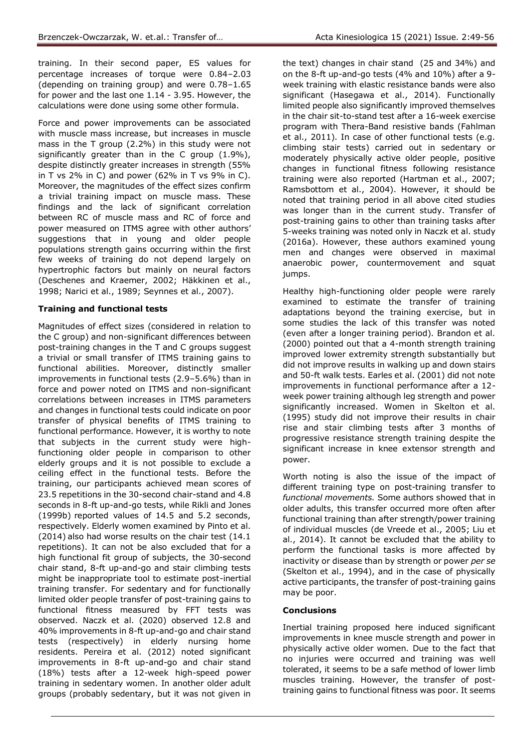training. In their second paper, ES values for percentage increases of torque were 0.84–2.03 (depending on training group) and were 0.78–1.65 for power and the last one 1.14 - 3.95. However, the calculations were done using some other formula.

Force and power improvements can be associated with muscle mass increase, but increases in muscle mass in the T group (2.2%) in this study were not significantly greater than in the C group (1.9%), despite distinctly greater increases in strength (55% in T vs 2% in C) and power (62% in T vs 9% in C). Moreover, the magnitudes of the effect sizes confirm a trivial training impact on muscle mass. These findings and the lack of significant correlation between RC of muscle mass and RC of force and power measured on ITMS agree with other authors' suggestions that in young and older people populations strength gains occurring within the first few weeks of training do not depend largely on hypertrophic factors but mainly on neural factors (Deschenes and Kraemer, 2002; Häkkinen et al., 1998; Narici et al., 1989; Seynnes et al., 2007).

## **Training and functional tests**

Magnitudes of effect sizes (considered in relation to the C group) and non-significant differences between post-training changes in the T and C groups suggest a trivial or small transfer of ITMS training gains to functional abilities. Moreover, distinctly smaller improvements in functional tests (2.9–5.6%) than in force and power noted on ITMS and non-significant correlations between increases in ITMS parameters and changes in functional tests could indicate on poor transfer of physical benefits of ITMS training to functional performance. However, it is worthy to note that subjects in the current study were highfunctioning older people in comparison to other elderly groups and it is not possible to exclude a ceiling effect in the functional tests. Before the training, our participants achieved mean scores of 23.5 repetitions in the 30-second chair-stand and 4.8 seconds in 8-ft up-and-go tests, while Rikli and Jones (1999b) reported values of 14.5 and 5.2 seconds, respectively. Elderly women examined by Pinto et al. (2014) also had worse results on the chair test (14.1 repetitions). It can not be also excluded that for a high functional fit group of subjects, the 30-second chair stand, 8-ft up-and-go and stair climbing tests might be inappropriate tool to estimate post-inertial training transfer. For sedentary and for functionally limited older people transfer of post-training gains to functional fitness measured by FFT tests was observed. Naczk et al. (2020) observed 12.8 and 40% improvements in 8-ft up-and-go and chair stand tests (respectively) in elderly nursing home residents. Pereira et al. (2012) noted significant improvements in 8-ft up-and-go and chair stand (18%) tests after a 12-week high-speed power training in sedentary women. In another older adult groups (probably sedentary, but it was not given in

the text) changes in chair stand (25 and 34%) and on the 8-ft up-and-go tests (4% and 10%) after a 9 week training with elastic resistance bands were also significant (Hasegawa et al., 2014). Functionally limited people also significantly improved themselves in the chair sit-to-stand test after a 16-week exercise program with Thera-Band resistive bands (Fahlman et al., 2011). In case of other functional tests (e.g. climbing stair tests) carried out in sedentary or moderately physically active older people, positive changes in functional fitness following resistance training were also reported (Hartman et al., 2007; Ramsbottom et al., 2004). However, it should be noted that training period in all above cited studies was longer than in the current study. Transfer of post-training gains to other than training tasks after 5-weeks training was noted only in Naczk et al. study (2016a). However, these authors examined young men and changes were observed in maximal anaerobic power, countermovement and squat jumps.

Healthy high-functioning older people were rarely examined to estimate the transfer of training adaptations beyond the training exercise, but in some studies the lack of this transfer was noted (even after a longer training period). Brandon et al. (2000) pointed out that a 4-month strength training improved lower extremity strength substantially but did not improve results in walking up and down stairs and 50-ft walk tests. Earles et al. (2001) did not note improvements in functional performance after a 12 week power training although leg strength and power significantly increased. Women in Skelton et al. (1995) study did not improve their results in chair rise and stair climbing tests after 3 months of progressive resistance strength training despite the significant increase in knee extensor strength and power.

Worth noting is also the issue of the impact of different training type on post-training transfer to *functional movements.* Some authors showed that in older adults, this transfer occurred more often after functional training than after strength/power training of individual muscles (de Vreede et al., 2005; Liu et al., 2014). It cannot be excluded that the ability to perform the functional tasks is more affected by inactivity or disease than by strength or power *per se* (Skelton et al., 1994), and in the case of physically active participants, the transfer of post-training gains may be poor.

## **Conclusions**

Inertial training proposed here induced significant improvements in knee muscle strength and power in physically active older women. Due to the fact that no injuries were occurred and training was well tolerated, it seems to be a safe method of lower limb muscles training. However, the transfer of posttraining gains to functional fitness was poor. It seems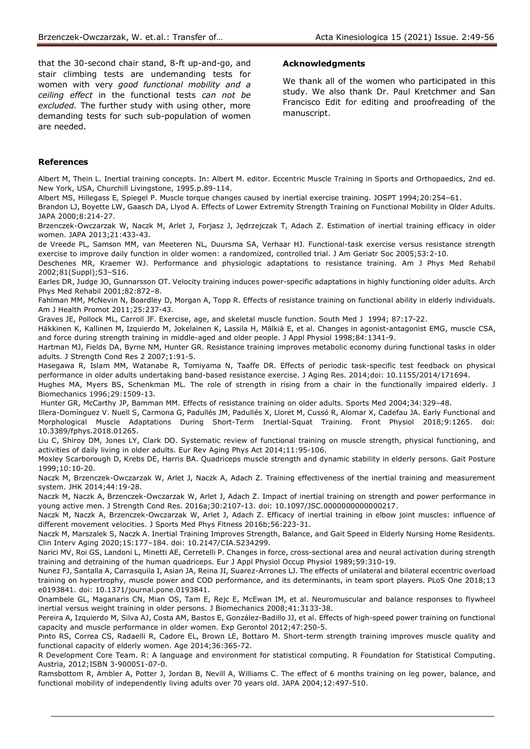that the 30-second chair stand, 8-ft up-and-go, and stair climbing tests are undemanding tests for women with very *good functional mobility and a ceiling effect* in the functional tests *can not be excluded.* The further study with using other, more demanding tests for such sub-population of women are needed.

#### **Acknowledgments**

We thank all of the women who participated in this study. We also thank Dr. Paul Kretchmer and San Francisco Edit for editing and proofreading of the manuscript.

#### **References**

Albert M, Thein L. Inertial training concepts. In: Albert M. editor. Eccentric Muscle Training in Sports and Orthopaedics, 2nd ed. New York, USA, Churchill Livingstone, 1995.p.89-114.

Albert MS, Hillegass E, Spiegel P. Muscle torque changes caused by inertial exercise training. JOSPT 1994;20:254–61.

Brandon LJ, Boyette LW, Gaasch DA, Llyod A. Effects of Lower Extremity Strength Training on Functional Mobility in Older Adults. JAPA 2000;8:214-27.

Brzenczek-Owczarzak W, Naczk M, Arlet J, Forjasz J, Jędrzejczak T, Adach Z. Estimation of inertial training efficacy in older women. JAPA 2013;21:433-43.

de Vreede PL, Samson MM, van Meeteren NL, Duursma SA, Verhaar HJ. Functional-task exercise versus resistance strength exercise to improve daily function in older women: a randomized, controlled trial. J Am Geriatr Soc 2005;53:2-10.

Deschenes MR, Kraemer WJ. Performance and physiologic adaptations to resistance training. Am J Phys Med Rehabil 2002;81(Suppl);S3–S16.

Earles DR, Judge JO, Gunnarsson OT. Velocity training induces power-specific adaptations in highly functioning older adults. Arch Phys Med Rehabil 2001;82:872–8.

Fahlman MM, McNevin N, Boardley D, Morgan A, Topp R. Effects of resistance training on functional ability in elderly individuals. Am J Health Promot 2011;25:237-43.

Graves JE, Pollock ML, Carroll JF. Exercise, age, and skeletal muscle function. South Med J 1994; 87:17-22.

Häkkinen K, Kallinen M, Izquierdo M, Jokelainen K, Lassila H, Mälkiä E, et al. Changes in agonist-antagonist EMG, muscle CSA, and force during strength training in middle-aged and older people. J Appl Physiol 1998;84:1341-9.

Hartman MJ, Fields DA, Byrne NM, Hunter GR. Resistance training improves metabolic economy during functional tasks in older adults. J Strength Cond Res 2 2007;1:91-5.

Hasegawa R, Islam MM, Watanabe R, Tomiyama N, Taaffe DR. Effects of periodic task-specific test feedback on physical performance in older adults undertaking band-based resistance exercise. J Aging Res. 2014;doi: 10.1155/2014/171694. Hughes MA, Myers BS, Schenkman ML. The role of strength in rising from a chair in the functionally impaired elderly. J

Biomechanics 1996;29:1509-13.

Hunter GR, McCarthy JP, Bamman MM. Effects of resistance training on older adults. Sports Med 2004;34:329–48.

Illera-Domínguez V. Nuell S, Carmona G, Padullés JM, Padullés X, Lloret M, Cussó R, Alomar X, Cadefau JA. Early Functional and Morphological Muscle Adaptations During Short-Term Inertial-Squat Training. Front Physiol 2018;9:1265. doi: 10.3389/fphys.2018.01265.

Liu C, Shiroy DM, Jones LY, Clark DO. Systematic review of functional training on muscle strength, physical functioning, and activities of daily living in older adults. Eur Rev Aging Phys Act 2014;11:95-106.

Moxley Scarborough D, Krebs DE, Harris BA. Quadriceps muscle strength and dynamic stability in elderly persons. Gait Posture 1999;10:10-20.

Naczk M, Brzenczek-Owczarzak W, Arlet J, Naczk A, Adach Z. Training effectiveness of the inertial training and measurement system. JHK 2014;44:19-28.

Naczk M, Naczk A, Brzenczek-Owczarzak W, Arlet J, Adach Z. Impact of inertial training on strength and power performance in young active men. J Strength Cond Res. 2016a;30:2107-13. doi: 10.1097/JSC.0000000000000217.

Naczk M, Naczk A, Brzenczek-Owczarzak W, Arlet J, Adach Z. Efficacy of inertial training in elbow joint muscles: influence of different movement velocities. J Sports Med Phys Fitness 2016b;56:223-31.

Naczk M, Marszalek S, Naczk A. Inertial Training Improves Strength, Balance, and Gait Speed in Elderly Nursing Home Residents. Clin Interv Aging 2020;15:177–184. doi: 10.2147/CIA.S234299.

Narici MV, Roi GS, Landoni L, Minetti AE, Cerretelli P. Changes in force, cross-sectional area and neural activation during strength training and detraining of the human quadriceps. Eur J Appl Physiol Occup Physiol 1989;59:310-19.

Nunez FJ, Santalla A, Carrasquila I, Asian JA, Reina JI, Suarez-Arrones LJ. The effects of unilateral and bilateral eccentric overload training on hypertrophy, muscle power and COD performance, and its determinants, in team sport players. PLoS One 2018;13 e0193841. doi: 10.1371/journal.pone.0193841.

Onambele GL, Maganaris CN, Mian OS, Tam E, Rejc E, McEwan IM, et al. Neuromuscular and balance responses to flywheel inertial versus weight training in older persons. J Biomechanics 2008;41:3133-38.

Pereira A, Izquierdo M, Silva AJ, Costa AM, Bastos E, González-Badillo JJ, et al. Effects of high-speed power training on functional capacity and muscle performance in older women. Exp Gerontol 2012;47:250-5.

Pinto RS, Correa CS, Radaelli R, Cadore EL, Brown LE, Bottaro M. Short-term strength training improves muscle quality and functional capacity of elderly women. Age 2014;36:365-72.

R Development Core Team. R: A language and environment for statistical computing. R Foundation for Statistical Computing. Austria, 2012;ISBN 3-900051-07-0.

Ramsbottom R, Ambler A, Potter J, Jordan B, Nevill A, Williams C. The effect of 6 months training on leg power, balance, and functional mobility of independently living adults over 70 years old. JAPA 2004;12:497-510.